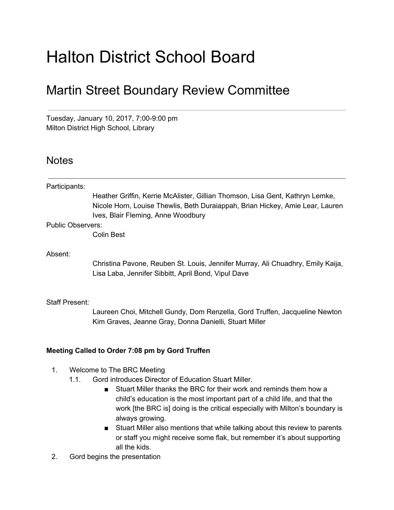# Halton District School Board

## Martin Street Boundary Review Committee

Tuesday, January 10, 2017, 7:00-9:00 pm Milton District High School, Library

### **Notes**

Participants: Heather Griffin, Kerrie McAlister, Gillian Thomson, Lisa Gent, Kathryn Lemke, Nicole Horn, Louise Thewlis, Beth Duraiappah, Brian Hickey, Amie Lear, Lauren Ives, Blair Fleming, Anne Woodbury Public Observers: Colin Best Absent: Christina Pavone, Reuben St. Louis, Jennifer Murray, Ali Chuadhry, Emily Kaija, Lisa Laba, Jennifer Sibbitt, April Bond, Vipul Dave Staff Present:

> Laureen Choi, Mitchell Gundy, Dom Renzella, Gord Truffen, Jacqueline Newton Kim Graves, Jeanne Gray, Donna Danielli, Stuart Miller

#### **Meeting Called to Order 7:08 pm by Gord Truffen**

- 1. Welcome to The BRC Meeting
	- 1.1. Gord introduces Director of Education Stuart Miller.
		- Stuart Miller thanks the BRC for their work and reminds them how a child's education is the most important part of a child life, and that the work [the BRC is] doing is the critical especially with Milton's boundary is always growing.
		- Stuart Miller also mentions that while talking about this review to parents or staff you might receive some flak, but remember it's about supporting all the kids.
- 2. Gord begins the presentation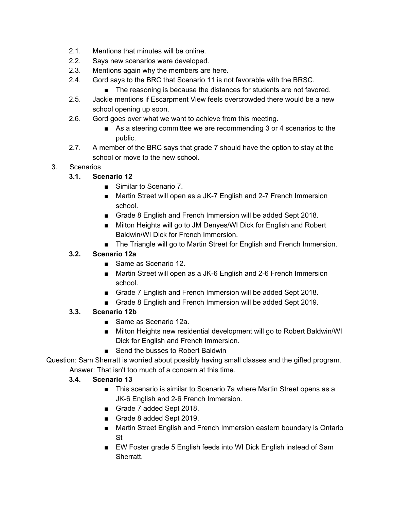- 2.1. Mentions that minutes will be online.
- 2.2. Says new scenarios were developed.
- 2.3. Mentions again why the members are here.
- 2.4. Gord says to the BRC that Scenario 11 is not favorable with the BRSC.
	- The reasoning is because the distances for students are not favored.
- 2.5. Jackie mentions if Escarpment View feels overcrowded there would be a new school opening up soon.
- 2.6. Gord goes over what we want to achieve from this meeting.
	- As a steering committee we are recommending 3 or 4 scenarios to the public.
- 2.7. A member of the BRC says that grade 7 should have the option to stay at the school or move to the new school.

#### 3. Scenarios

- **3.1. Scenario 12**
	- Similar to Scenario 7.
	- Martin Street will open as a JK-7 English and 2-7 French Immersion school.
	- Grade 8 English and French Immersion will be added Sept 2018.
	- Milton Heights will go to JM Denyes/WI Dick for English and Robert Baldwin/WI Dick for French Immersion.
	- The Triangle will go to Martin Street for English and French Immersion.

#### **3.2. Scenario 12a**

- Same as Scenario 12.
- Martin Street will open as a JK-6 English and 2-6 French Immersion school.
- Grade 7 English and French Immersion will be added Sept 2018.
- Grade 8 English and French Immersion will be added Sept 2019.

#### **3.3. Scenario 12b**

- Same as Scenario 12a.
- Milton Heights new residential development will go to Robert Baldwin/WI Dick for English and French Immersion.
- Send the busses to Robert Baldwin

Question: Sam Sherratt is worried about possibly having small classes and the gifted program. Answer: That isn't too much of a concern at this time.

#### **3.4. Scenario 13**

- This scenario is similar to Scenario 7a where Martin Street opens as a JK-6 English and 2-6 French Immersion.
- Grade 7 added Sept 2018.
- Grade 8 added Sept 2019.
- Martin Street English and French Immersion eastern boundary is Ontario St
- EW Foster grade 5 English feeds into WI Dick English instead of Sam Sherratt.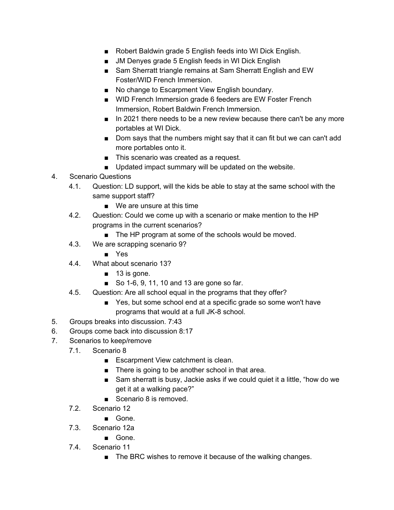- Robert Baldwin grade 5 English feeds into WI Dick English.
- JM Denyes grade 5 English feeds in WI Dick English
- Sam Sherratt triangle remains at Sam Sherratt English and EW Foster/WID French Immersion.
- No change to Escarpment View English boundary.
- WID French Immersion grade 6 feeders are EW Foster French Immersion, Robert Baldwin French Immersion.
- In 2021 there needs to be a new review because there can't be any more portables at WI Dick.
- Dom says that the numbers might say that it can fit but we can can't add more portables onto it.
- This scenario was created as a request.
- Updated impact summary will be updated on the website.
- 4. Scenario Questions
	- 4.1. Question: LD support, will the kids be able to stay at the same school with the same support staff?
		- We are unsure at this time
	- 4.2. Question: Could we come up with a scenario or make mention to the HP programs in the current scenarios?
		- The HP program at some of the schools would be moved.
	- 4.3. We are scrapping scenario 9?
		- Yes
	- 4.4. What about scenario 13?
		- 13 is gone.
		- So 1-6, 9, 11, 10 and 13 are gone so far.
	- 4.5. Question: Are all school equal in the programs that they offer?
		- Yes, but some school end at a specific grade so some won't have programs that would at a full JK-8 school.
- 5. Groups breaks into discussion. 7:43
- 6. Groups come back into discussion 8:17
- 7. Scenarios to keep/remove
	- 7.1. Scenario 8
		- Escarpment View catchment is clean.
		- There is going to be another school in that area.
		- Sam sherratt is busy, Jackie asks if we could quiet it a little, "how do we get it at a walking pace?"
		- Scenario 8 is removed.
	- 7.2. Scenario 12
		- Gone.
	- 7.3. Scenario 12a
		- Gone.
	- 7.4. Scenario 11
		- The BRC wishes to remove it because of the walking changes.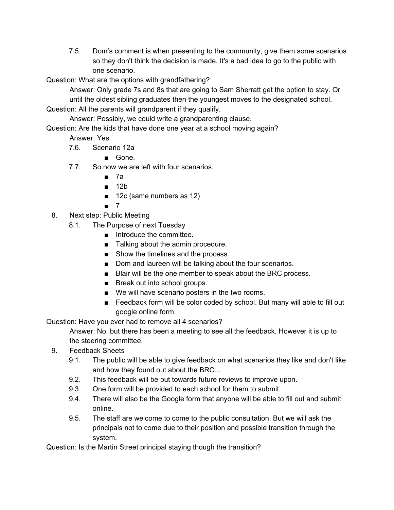7.5. Dom's comment is when presenting to the community, give them some scenarios so they don't think the decision is made. It's a bad idea to go to the public with one scenario.

Question: What are the options with grandfathering?

Answer: Only grade 7s and 8s that are going to Sam Sherratt get the option to stay. Or until the oldest sibling graduates then the youngest moves to the designated school.

Question: All the parents will grandparent if they qualify.

Answer: Possibly, we could write a grandparenting clause.

Question: Are the kids that have done one year at a school moving again?

Answer: Yes

7.6. Scenario 12a

■ Gone.

- 7.7. So now we are left with four scenarios.
	- 7a
	- 12b
	- 12c (same numbers as 12)
	- 7
- 8. Next step: Public Meeting
	- 8.1. The Purpose of next Tuesday
		- Introduce the committee.
		- Talking about the admin procedure.
		- Show the timelines and the process.
		- Dom and laureen will be talking about the four scenarios.
		- Blair will be the one member to speak about the BRC process.
		- Break out into school groups.
		- We will have scenario posters in the two rooms.
		- Feedback form will be color coded by school. But many will able to fill out google online form.

Question: Have you ever had to remove all 4 scenarios?

Answer: No, but there has been a meeting to see all the feedback. However it is up to the steering committee.

- 9. Feedback Sheets
	- 9.1. The public will be able to give feedback on what scenarios they like and don't like and how they found out about the BRC...
	- 9.2. This feedback will be put towards future reviews to improve upon.
	- 9.3. One form will be provided to each school for them to submit.
	- 9.4. There will also be the Google form that anyone will be able to fill out and submit online.
	- 9.5. The staff are welcome to come to the public consultation. But we will ask the principals not to come due to their position and possible transition through the system.

Question: Is the Martin Street principal staying though the transition?